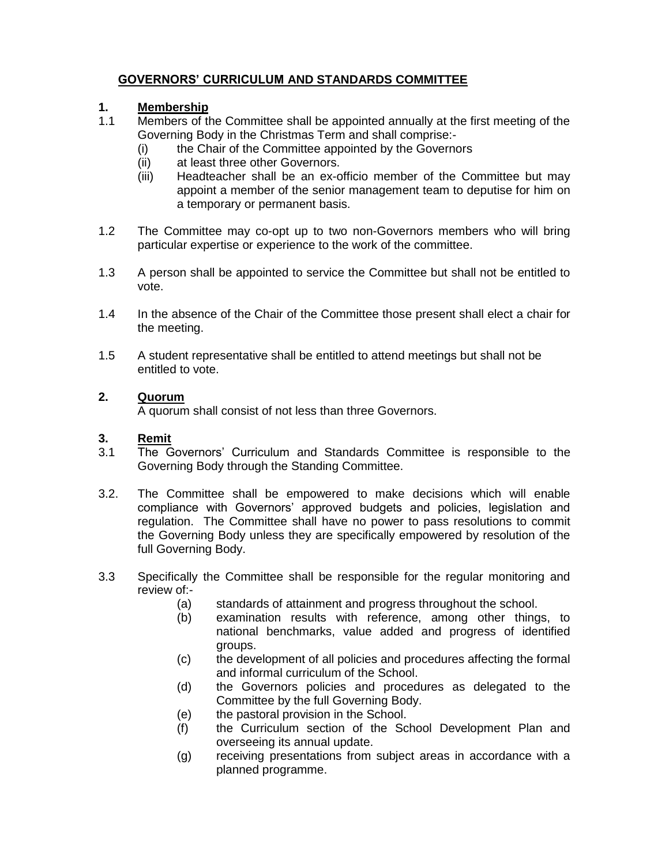## **GOVERNORS' CURRICULUM AND STANDARDS COMMITTEE**

## **1. Membership**

- 1.1 Members of the Committee shall be appointed annually at the first meeting of the Governing Body in the Christmas Term and shall comprise:-
	- (i) the Chair of the Committee appointed by the Governors
	- (ii) at least three other Governors.
	- (iii) Headteacher shall be an ex-officio member of the Committee but may appoint a member of the senior management team to deputise for him on a temporary or permanent basis.
- 1.2 The Committee may co-opt up to two non-Governors members who will bring particular expertise or experience to the work of the committee.
- 1.3 A person shall be appointed to service the Committee but shall not be entitled to vote.
- 1.4 In the absence of the Chair of the Committee those present shall elect a chair for the meeting.
- 1.5 A student representative shall be entitled to attend meetings but shall not be entitled to vote.

### **2. Quorum**

A quorum shall consist of not less than three Governors.

#### **3. Remit**

- 3.1 The Governors' Curriculum and Standards Committee is responsible to the Governing Body through the Standing Committee.
- 3.2. The Committee shall be empowered to make decisions which will enable compliance with Governors' approved budgets and policies, legislation and regulation. The Committee shall have no power to pass resolutions to commit the Governing Body unless they are specifically empowered by resolution of the full Governing Body.
- 3.3 Specifically the Committee shall be responsible for the regular monitoring and review of:-
	- (a) standards of attainment and progress throughout the school.
	- (b) examination results with reference, among other things, to national benchmarks, value added and progress of identified groups.
	- (c) the development of all policies and procedures affecting the formal and informal curriculum of the School.
	- (d) the Governors policies and procedures as delegated to the Committee by the full Governing Body.
	- (e) the pastoral provision in the School.
	- (f) the Curriculum section of the School Development Plan and overseeing its annual update.
	- (g) receiving presentations from subject areas in accordance with a planned programme.